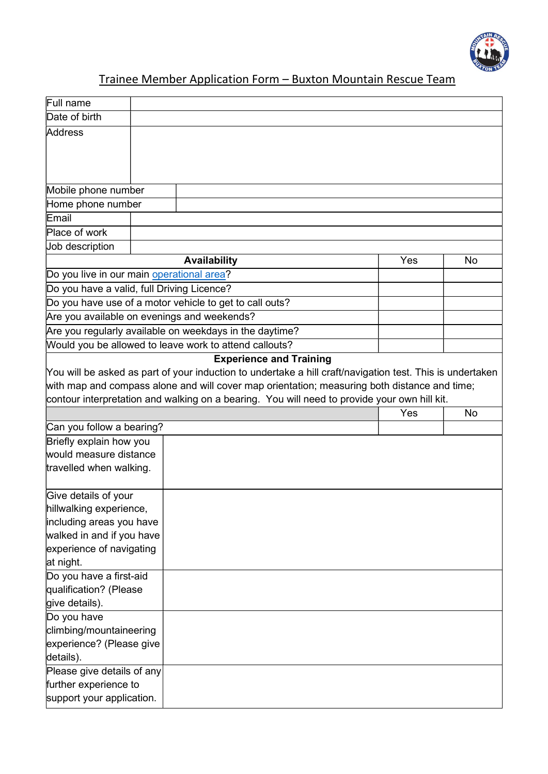

## Trainee Member Application Form – Buxton Mountain Rescue Team

| Full name                                          |                                                                                                           |     |           |
|----------------------------------------------------|-----------------------------------------------------------------------------------------------------------|-----|-----------|
| Date of birth                                      |                                                                                                           |     |           |
| Address                                            |                                                                                                           |     |           |
|                                                    |                                                                                                           |     |           |
|                                                    |                                                                                                           |     |           |
|                                                    |                                                                                                           |     |           |
| Mobile phone number                                |                                                                                                           |     |           |
| Home phone number                                  |                                                                                                           |     |           |
| Email                                              |                                                                                                           |     |           |
| Place of work                                      |                                                                                                           |     |           |
| Job description                                    |                                                                                                           |     |           |
|                                                    |                                                                                                           | Yes |           |
|                                                    | <b>Availability</b>                                                                                       |     | <b>No</b> |
| Do you live in our main operational area?          |                                                                                                           |     |           |
| Do you have a valid, full Driving Licence?         |                                                                                                           |     |           |
|                                                    | Do you have use of a motor vehicle to get to call outs?                                                   |     |           |
| Are you available on evenings and weekends?        |                                                                                                           |     |           |
|                                                    | Are you regularly available on weekdays in the daytime?                                                   |     |           |
|                                                    | Would you be allowed to leave work to attend callouts?                                                    |     |           |
|                                                    | <b>Experience and Training</b>                                                                            |     |           |
|                                                    | You will be asked as part of your induction to undertake a hill craft/navigation test. This is undertaken |     |           |
|                                                    | with map and compass alone and will cover map orientation; measuring both distance and time;              |     |           |
|                                                    |                                                                                                           |     |           |
|                                                    | contour interpretation and walking on a bearing. You will need to provide your own hill kit.              |     |           |
|                                                    |                                                                                                           | Yes | <b>No</b> |
| Can you follow a bearing?                          |                                                                                                           |     |           |
| Briefly explain how you                            |                                                                                                           |     |           |
| would measure distance                             |                                                                                                           |     |           |
| travelled when walking.                            |                                                                                                           |     |           |
|                                                    |                                                                                                           |     |           |
| Give details of your                               |                                                                                                           |     |           |
| hillwalking experience,                            |                                                                                                           |     |           |
| including areas you have                           |                                                                                                           |     |           |
| walked in and if you have                          |                                                                                                           |     |           |
| experience of navigating                           |                                                                                                           |     |           |
| at night.                                          |                                                                                                           |     |           |
| Do you have a first-aid                            |                                                                                                           |     |           |
| qualification? (Please                             |                                                                                                           |     |           |
| give details).                                     |                                                                                                           |     |           |
| Do you have                                        |                                                                                                           |     |           |
| climbing/mountaineering                            |                                                                                                           |     |           |
| experience? (Please give                           |                                                                                                           |     |           |
| details).                                          |                                                                                                           |     |           |
| Please give details of any                         |                                                                                                           |     |           |
| further experience to<br>support your application. |                                                                                                           |     |           |